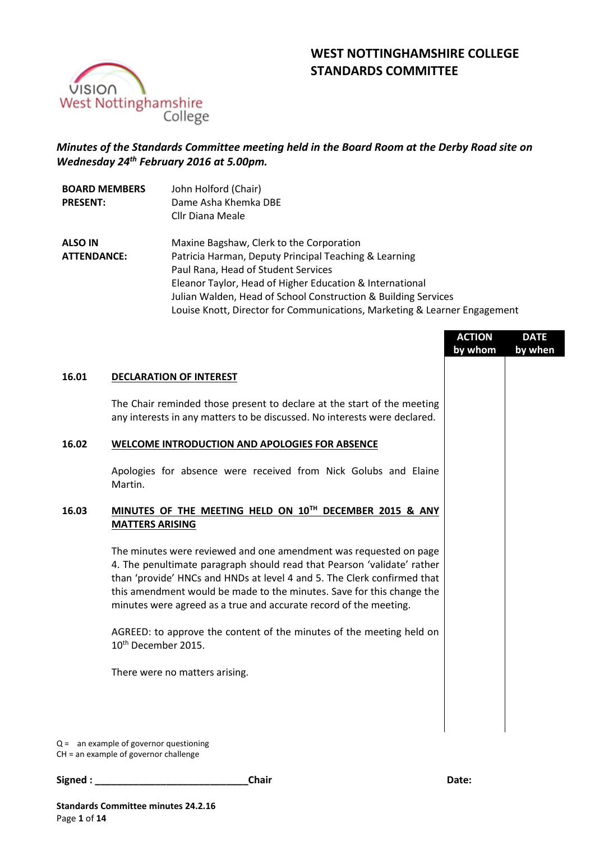# **WEST NOTTINGHAMSHIRE COLLEGE STANDARDS COMMITTEE**



# *Minutes of the Standards Committee meeting held in the Board Room at the Derby Road site on Wednesday 24th February 2016 at 5.00pm.*

| <b>BOARD MEMBERS</b> | John Holford (Chair)                                                      |
|----------------------|---------------------------------------------------------------------------|
| <b>PRESENT:</b>      | Dame Asha Khemka DBE                                                      |
|                      | Cllr Diana Meale                                                          |
| <b>ALSO IN</b>       | Maxine Bagshaw, Clerk to the Corporation                                  |
| <b>ATTENDANCE:</b>   | Patricia Harman, Deputy Principal Teaching & Learning                     |
|                      | Paul Rana, Head of Student Services                                       |
|                      | Eleanor Taylor, Head of Higher Education & International                  |
|                      | Julian Walden, Head of School Construction & Building Services            |
|                      | Louise Knott, Director for Communications, Marketing & Learner Engagement |

|       |                                                                                                                                                                                                                                                                                                                                                                       | <b>ACTION</b><br>by whom | <b>DATE</b><br>by when |
|-------|-----------------------------------------------------------------------------------------------------------------------------------------------------------------------------------------------------------------------------------------------------------------------------------------------------------------------------------------------------------------------|--------------------------|------------------------|
| 16.01 | <b>DECLARATION OF INTEREST</b>                                                                                                                                                                                                                                                                                                                                        |                          |                        |
|       | The Chair reminded those present to declare at the start of the meeting<br>any interests in any matters to be discussed. No interests were declared.                                                                                                                                                                                                                  |                          |                        |
| 16.02 | <b>WELCOME INTRODUCTION AND APOLOGIES FOR ABSENCE</b>                                                                                                                                                                                                                                                                                                                 |                          |                        |
|       | Apologies for absence were received from Nick Golubs and Elaine<br>Martin.                                                                                                                                                                                                                                                                                            |                          |                        |
| 16.03 | MINUTES OF THE MEETING HELD ON 10TH DECEMBER 2015 & ANY<br><b>MATTERS ARISING</b>                                                                                                                                                                                                                                                                                     |                          |                        |
|       | The minutes were reviewed and one amendment was requested on page<br>4. The penultimate paragraph should read that Pearson 'validate' rather<br>than 'provide' HNCs and HNDs at level 4 and 5. The Clerk confirmed that<br>this amendment would be made to the minutes. Save for this change the<br>minutes were agreed as a true and accurate record of the meeting. |                          |                        |
|       | AGREED: to approve the content of the minutes of the meeting held on<br>10 <sup>th</sup> December 2015.                                                                                                                                                                                                                                                               |                          |                        |
|       | There were no matters arising.                                                                                                                                                                                                                                                                                                                                        |                          |                        |
|       |                                                                                                                                                                                                                                                                                                                                                                       |                          |                        |
|       | $Q =$ an example of governor questioning                                                                                                                                                                                                                                                                                                                              |                          |                        |

CH = an example of governor challenge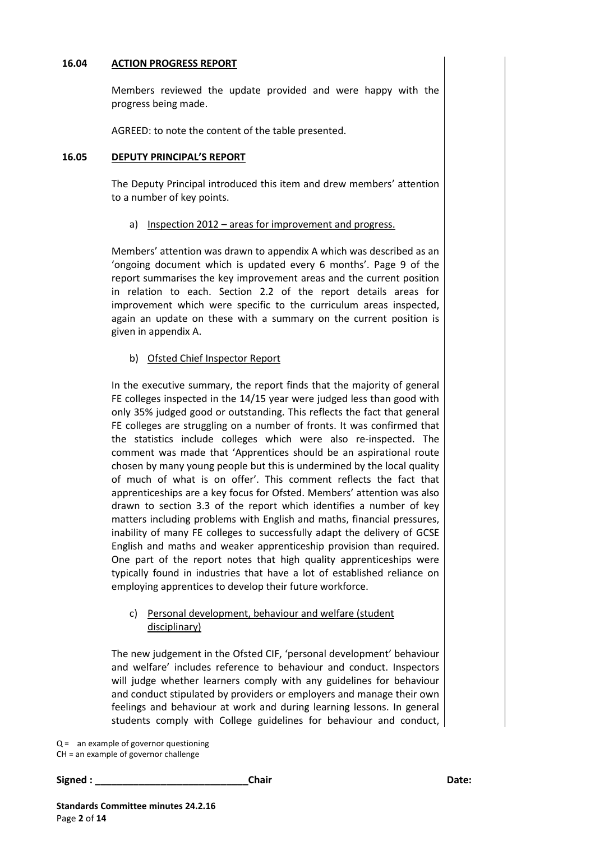### **16.04 ACTION PROGRESS REPORT**

Members reviewed the update provided and were happy with the progress being made.

AGREED: to note the content of the table presented.

#### **16.05 DEPUTY PRINCIPAL'S REPORT**

The Deputy Principal introduced this item and drew members' attention to a number of key points.

### a) Inspection 2012 – areas for improvement and progress.

Members' attention was drawn to appendix A which was described as an 'ongoing document which is updated every 6 months'. Page 9 of the report summarises the key improvement areas and the current position in relation to each. Section 2.2 of the report details areas for improvement which were specific to the curriculum areas inspected, again an update on these with a summary on the current position is given in appendix A.

# b) Ofsted Chief Inspector Report

In the executive summary, the report finds that the majority of general FE colleges inspected in the 14/15 year were judged less than good with only 35% judged good or outstanding. This reflects the fact that general FE colleges are struggling on a number of fronts. It was confirmed that the statistics include colleges which were also re-inspected. The comment was made that 'Apprentices should be an aspirational route chosen by many young people but this is undermined by the local quality of much of what is on offer'. This comment reflects the fact that apprenticeships are a key focus for Ofsted. Members' attention was also drawn to section 3.3 of the report which identifies a number of key matters including problems with English and maths, financial pressures, inability of many FE colleges to successfully adapt the delivery of GCSE English and maths and weaker apprenticeship provision than required. One part of the report notes that high quality apprenticeships were typically found in industries that have a lot of established reliance on employing apprentices to develop their future workforce.

# c) Personal development, behaviour and welfare (student disciplinary)

The new judgement in the Ofsted CIF, 'personal development' behaviour and welfare' includes reference to behaviour and conduct. Inspectors will judge whether learners comply with any guidelines for behaviour and conduct stipulated by providers or employers and manage their own feelings and behaviour at work and during learning lessons. In general students comply with College guidelines for behaviour and conduct,

Q = an example of governor questioning

CH = an example of governor challenge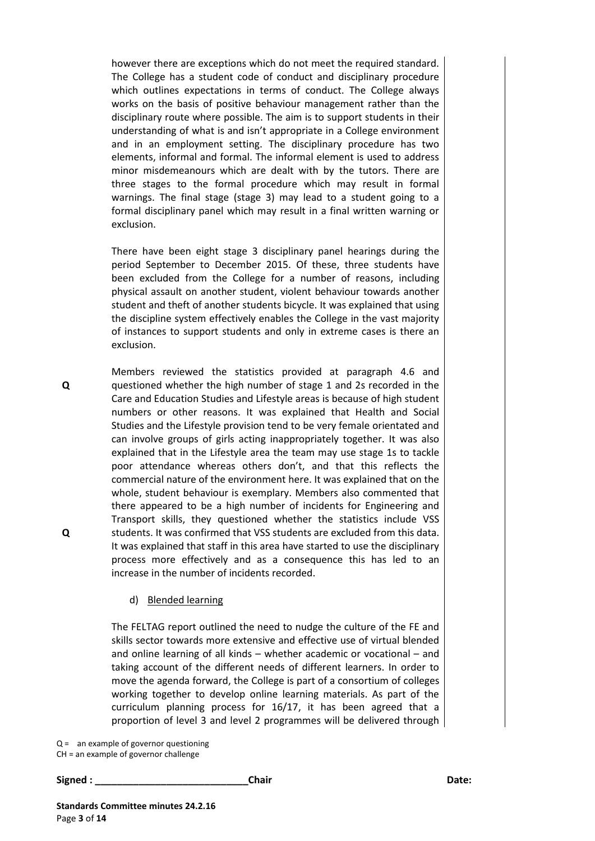however there are exceptions which do not meet the required standard. The College has a student code of conduct and disciplinary procedure which outlines expectations in terms of conduct. The College always works on the basis of positive behaviour management rather than the disciplinary route where possible. The aim is to support students in their understanding of what is and isn't appropriate in a College environment and in an employment setting. The disciplinary procedure has two elements, informal and formal. The informal element is used to address minor misdemeanours which are dealt with by the tutors. There are three stages to the formal procedure which may result in formal warnings. The final stage (stage 3) may lead to a student going to a formal disciplinary panel which may result in a final written warning or exclusion.

There have been eight stage 3 disciplinary panel hearings during the period September to December 2015. Of these, three students have been excluded from the College for a number of reasons, including physical assault on another student, violent behaviour towards another student and theft of another students bicycle. It was explained that using the discipline system effectively enables the College in the vast majority of instances to support students and only in extreme cases is there an exclusion.

Members reviewed the statistics provided at paragraph 4.6 and questioned whether the high number of stage 1 and 2s recorded in the Care and Education Studies and Lifestyle areas is because of high student numbers or other reasons. It was explained that Health and Social Studies and the Lifestyle provision tend to be very female orientated and can involve groups of girls acting inappropriately together. It was also explained that in the Lifestyle area the team may use stage 1s to tackle poor attendance whereas others don't, and that this reflects the commercial nature of the environment here. It was explained that on the whole, student behaviour is exemplary. Members also commented that there appeared to be a high number of incidents for Engineering and Transport skills, they questioned whether the statistics include VSS students. It was confirmed that VSS students are excluded from this data. It was explained that staff in this area have started to use the disciplinary process more effectively and as a consequence this has led to an increase in the number of incidents recorded.

#### d) Blended learning

The FELTAG report outlined the need to nudge the culture of the FE and skills sector towards more extensive and effective use of virtual blended and online learning of all kinds – whether academic or vocational – and taking account of the different needs of different learners. In order to move the agenda forward, the College is part of a consortium of colleges working together to develop online learning materials. As part of the curriculum planning process for 16/17, it has been agreed that a proportion of level 3 and level 2 programmes will be delivered through

Q = an example of governor questioning

CH = an example of governor challenge

**Signed : \_\_\_\_\_\_\_\_\_\_\_\_\_\_\_\_\_\_\_\_\_\_\_\_\_\_\_\_Chair Date:**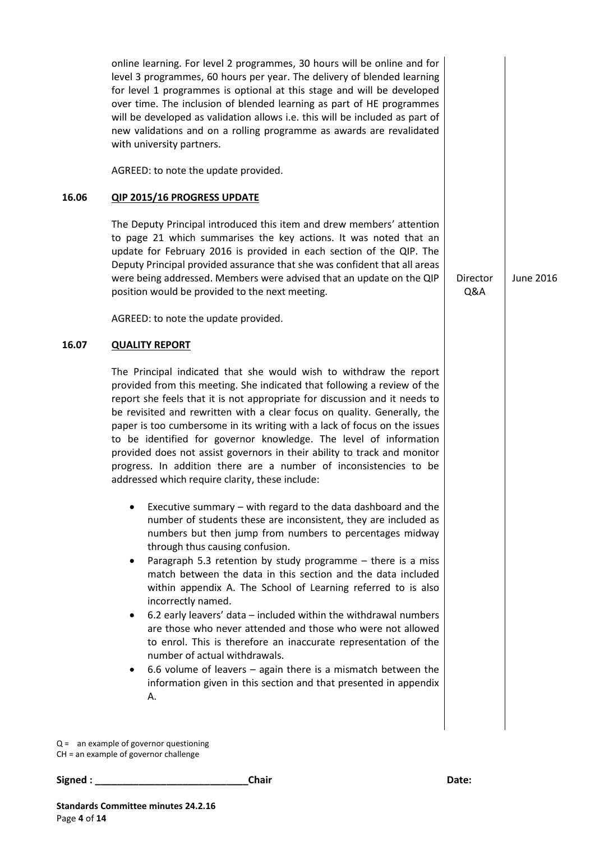|       | online learning. For level 2 programmes, 30 hours will be online and for<br>level 3 programmes, 60 hours per year. The delivery of blended learning<br>for level 1 programmes is optional at this stage and will be developed<br>over time. The inclusion of blended learning as part of HE programmes<br>will be developed as validation allows i.e. this will be included as part of<br>new validations and on a rolling programme as awards are revalidated<br>with university partners.                                                                                                                                                                                                                                                                                                                                                                                       |                 |                  |
|-------|-----------------------------------------------------------------------------------------------------------------------------------------------------------------------------------------------------------------------------------------------------------------------------------------------------------------------------------------------------------------------------------------------------------------------------------------------------------------------------------------------------------------------------------------------------------------------------------------------------------------------------------------------------------------------------------------------------------------------------------------------------------------------------------------------------------------------------------------------------------------------------------|-----------------|------------------|
|       | AGREED: to note the update provided.                                                                                                                                                                                                                                                                                                                                                                                                                                                                                                                                                                                                                                                                                                                                                                                                                                              |                 |                  |
| 16.06 | <b>QIP 2015/16 PROGRESS UPDATE</b>                                                                                                                                                                                                                                                                                                                                                                                                                                                                                                                                                                                                                                                                                                                                                                                                                                                |                 |                  |
|       | The Deputy Principal introduced this item and drew members' attention<br>to page 21 which summarises the key actions. It was noted that an<br>update for February 2016 is provided in each section of the QIP. The<br>Deputy Principal provided assurance that she was confident that all areas<br>were being addressed. Members were advised that an update on the QIP<br>position would be provided to the next meeting.                                                                                                                                                                                                                                                                                                                                                                                                                                                        | Director<br>Q&A | <b>June 2016</b> |
|       | AGREED: to note the update provided.                                                                                                                                                                                                                                                                                                                                                                                                                                                                                                                                                                                                                                                                                                                                                                                                                                              |                 |                  |
| 16.07 | <b>QUALITY REPORT</b>                                                                                                                                                                                                                                                                                                                                                                                                                                                                                                                                                                                                                                                                                                                                                                                                                                                             |                 |                  |
|       | The Principal indicated that she would wish to withdraw the report<br>provided from this meeting. She indicated that following a review of the<br>report she feels that it is not appropriate for discussion and it needs to<br>be revisited and rewritten with a clear focus on quality. Generally, the<br>paper is too cumbersome in its writing with a lack of focus on the issues<br>to be identified for governor knowledge. The level of information<br>provided does not assist governors in their ability to track and monitor<br>progress. In addition there are a number of inconsistencies to be<br>addressed which require clarity, these include:                                                                                                                                                                                                                    |                 |                  |
|       | Executive summary - with regard to the data dashboard and the<br>number of students these are inconsistent, they are included as<br>numbers but then jump from numbers to percentages midway<br>through thus causing confusion.<br>Paragraph 5.3 retention by study programme - there is a miss<br>$\bullet$<br>match between the data in this section and the data included<br>within appendix A. The School of Learning referred to is also<br>incorrectly named.<br>6.2 early leavers' data - included within the withdrawal numbers<br>$\bullet$<br>are those who never attended and those who were not allowed<br>to enrol. This is therefore an inaccurate representation of the<br>number of actual withdrawals.<br>6.6 volume of leavers $-$ again there is a mismatch between the<br>$\bullet$<br>information given in this section and that presented in appendix<br>А. |                 |                  |
|       | $Q =$ an example of governor questioning                                                                                                                                                                                                                                                                                                                                                                                                                                                                                                                                                                                                                                                                                                                                                                                                                                          |                 |                  |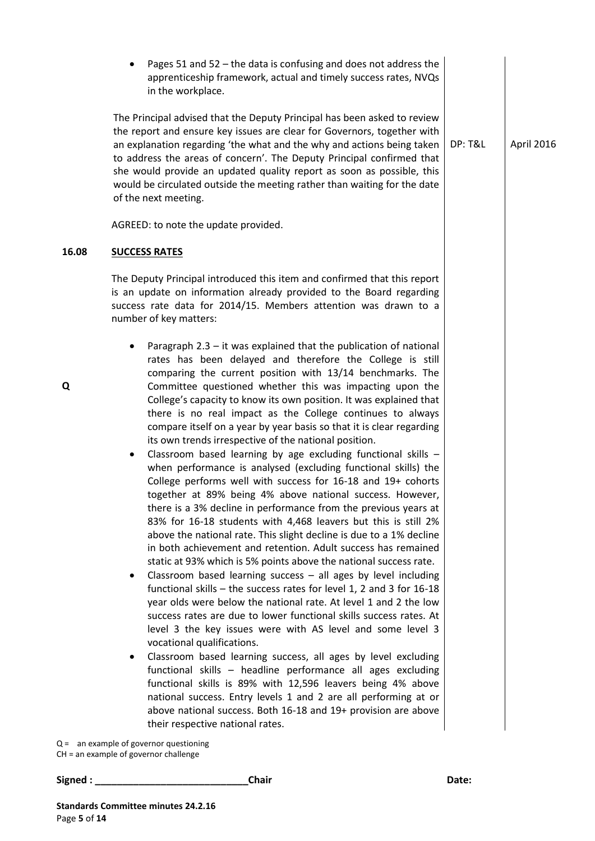|       | Pages 51 and 52 - the data is confusing and does not address the<br>$\bullet$<br>apprenticeship framework, actual and timely success rates, NVQs<br>in the workplace.                                                                                                                                                                                                                                                                                                                                                                                                                                                                                                                                                                                                                                                                                                                                                                                                                                                                                                                                                                                                                                                                                                                                                                                                                                                                                                                                                                                                                                                                                                                                                                                                                                                                                                                                                                                                      |                    |            |
|-------|----------------------------------------------------------------------------------------------------------------------------------------------------------------------------------------------------------------------------------------------------------------------------------------------------------------------------------------------------------------------------------------------------------------------------------------------------------------------------------------------------------------------------------------------------------------------------------------------------------------------------------------------------------------------------------------------------------------------------------------------------------------------------------------------------------------------------------------------------------------------------------------------------------------------------------------------------------------------------------------------------------------------------------------------------------------------------------------------------------------------------------------------------------------------------------------------------------------------------------------------------------------------------------------------------------------------------------------------------------------------------------------------------------------------------------------------------------------------------------------------------------------------------------------------------------------------------------------------------------------------------------------------------------------------------------------------------------------------------------------------------------------------------------------------------------------------------------------------------------------------------------------------------------------------------------------------------------------------------|--------------------|------------|
|       | The Principal advised that the Deputy Principal has been asked to review<br>the report and ensure key issues are clear for Governors, together with<br>an explanation regarding 'the what and the why and actions being taken<br>to address the areas of concern'. The Deputy Principal confirmed that<br>she would provide an updated quality report as soon as possible, this<br>would be circulated outside the meeting rather than waiting for the date<br>of the next meeting.                                                                                                                                                                                                                                                                                                                                                                                                                                                                                                                                                                                                                                                                                                                                                                                                                                                                                                                                                                                                                                                                                                                                                                                                                                                                                                                                                                                                                                                                                        | <b>DP: T&amp;L</b> | April 2016 |
|       | AGREED: to note the update provided.                                                                                                                                                                                                                                                                                                                                                                                                                                                                                                                                                                                                                                                                                                                                                                                                                                                                                                                                                                                                                                                                                                                                                                                                                                                                                                                                                                                                                                                                                                                                                                                                                                                                                                                                                                                                                                                                                                                                       |                    |            |
| 16.08 | <b>SUCCESS RATES</b>                                                                                                                                                                                                                                                                                                                                                                                                                                                                                                                                                                                                                                                                                                                                                                                                                                                                                                                                                                                                                                                                                                                                                                                                                                                                                                                                                                                                                                                                                                                                                                                                                                                                                                                                                                                                                                                                                                                                                       |                    |            |
|       | The Deputy Principal introduced this item and confirmed that this report<br>is an update on information already provided to the Board regarding<br>success rate data for 2014/15. Members attention was drawn to a<br>number of key matters:                                                                                                                                                                                                                                                                                                                                                                                                                                                                                                                                                                                                                                                                                                                                                                                                                                                                                                                                                                                                                                                                                                                                                                                                                                                                                                                                                                                                                                                                                                                                                                                                                                                                                                                               |                    |            |
| Q     | Paragraph $2.3 - it$ was explained that the publication of national<br>rates has been delayed and therefore the College is still<br>comparing the current position with 13/14 benchmarks. The<br>Committee questioned whether this was impacting upon the<br>College's capacity to know its own position. It was explained that<br>there is no real impact as the College continues to always<br>compare itself on a year by year basis so that it is clear regarding<br>its own trends irrespective of the national position.<br>Classroom based learning by age excluding functional skills -<br>٠<br>when performance is analysed (excluding functional skills) the<br>College performs well with success for 16-18 and 19+ cohorts<br>together at 89% being 4% above national success. However,<br>there is a 3% decline in performance from the previous years at<br>83% for 16-18 students with 4,468 leavers but this is still 2%<br>above the national rate. This slight decline is due to a 1% decline<br>in both achievement and retention. Adult success has remained<br>static at 93% which is 5% points above the national success rate.<br>Classroom based learning success $-$ all ages by level including<br>functional skills $-$ the success rates for level 1, 2 and 3 for 16-18<br>year olds were below the national rate. At level 1 and 2 the low<br>success rates are due to lower functional skills success rates. At<br>level 3 the key issues were with AS level and some level 3<br>vocational qualifications.<br>Classroom based learning success, all ages by level excluding<br>$\bullet$<br>functional skills - headline performance all ages excluding<br>functional skills is 89% with 12,596 leavers being 4% above<br>national success. Entry levels 1 and 2 are all performing at or<br>above national success. Both 16-18 and 19+ provision are above<br>their respective national rates.<br>$Q =$ an example of governor questioning |                    |            |

**Signed : \_\_\_\_\_\_\_\_\_\_\_\_\_\_\_\_\_\_\_\_\_\_\_\_\_\_\_\_Chair Date:**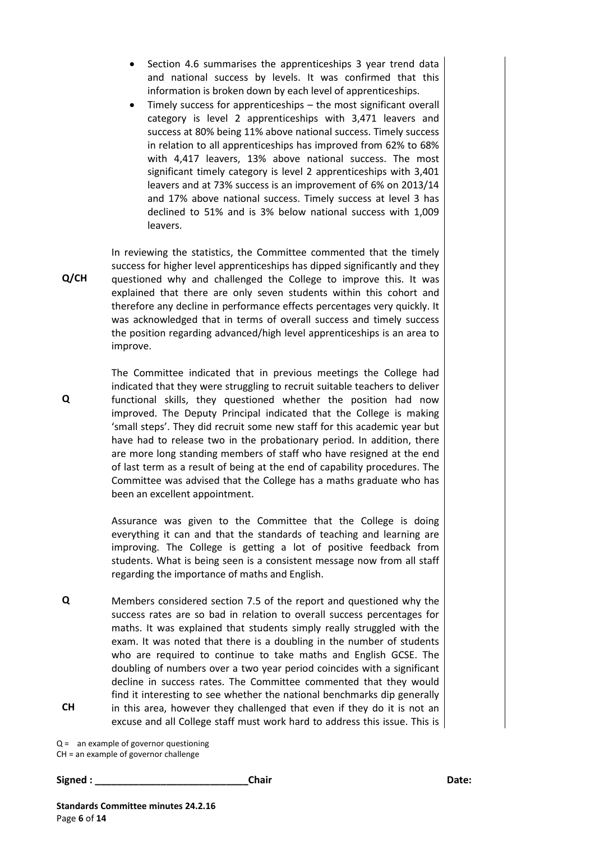- Section 4.6 summarises the apprenticeships 3 year trend data and national success by levels. It was confirmed that this information is broken down by each level of apprenticeships.
- Timely success for apprenticeships the most significant overall category is level 2 apprenticeships with 3,471 leavers and success at 80% being 11% above national success. Timely success in relation to all apprenticeships has improved from 62% to 68% with 4,417 leavers, 13% above national success. The most significant timely category is level 2 apprenticeships with 3,401 leavers and at 73% success is an improvement of 6% on 2013/14 and 17% above national success. Timely success at level 3 has declined to 51% and is 3% below national success with 1,009 leavers.

**Q/CH** In reviewing the statistics, the Committee commented that the timely success for higher level apprenticeships has dipped significantly and they questioned why and challenged the College to improve this. It was explained that there are only seven students within this cohort and therefore any decline in performance effects percentages very quickly. It was acknowledged that in terms of overall success and timely success the position regarding advanced/high level apprenticeships is an area to improve.

The Committee indicated that in previous meetings the College had indicated that they were struggling to recruit suitable teachers to deliver functional skills, they questioned whether the position had now improved. The Deputy Principal indicated that the College is making 'small steps'. They did recruit some new staff for this academic year but have had to release two in the probationary period. In addition, there are more long standing members of staff who have resigned at the end of last term as a result of being at the end of capability procedures. The Committee was advised that the College has a maths graduate who has been an excellent appointment.

Assurance was given to the Committee that the College is doing everything it can and that the standards of teaching and learning are improving. The College is getting a lot of positive feedback from students. What is being seen is a consistent message now from all staff regarding the importance of maths and English.

**Q CH** Members considered section 7.5 of the report and questioned why the success rates are so bad in relation to overall success percentages for maths. It was explained that students simply really struggled with the exam. It was noted that there is a doubling in the number of students who are required to continue to take maths and English GCSE. The doubling of numbers over a two year period coincides with a significant decline in success rates. The Committee commented that they would find it interesting to see whether the national benchmarks dip generally in this area, however they challenged that even if they do it is not an excuse and all College staff must work hard to address this issue. This is

Q = an example of governor questioning CH = an example of governor challenge

**Signed : \_\_\_\_\_\_\_\_\_\_\_\_\_\_\_\_\_\_\_\_\_\_\_\_\_\_\_\_Chair Date:**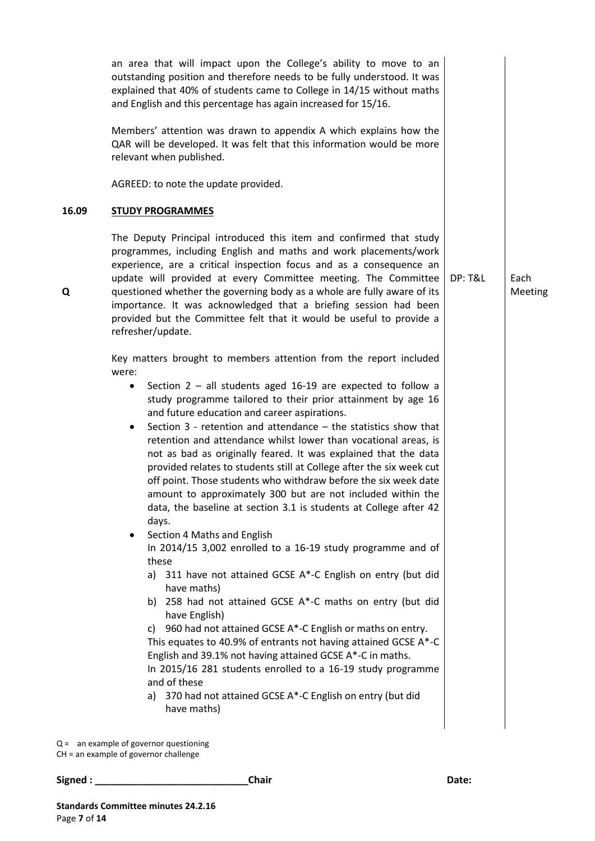an area that will impact upon the College's ability to move to an outstanding position and therefore needs to be fully understood. It was explained that 40% of students came to College in 14/15 without maths and English and this percentage has again increased for 15/16. Members' attention was drawn to appendix A which explains how the QAR will be developed. It was felt that this information would be more relevant when published. AGREED: to note the update provided. **16.09 STUDY PROGRAMMES** The Deputy Principal introduced this item and confirmed that study programmes, including English and maths and work placements/work experience, are a critical inspection focus and as a consequence an update will provided at every Committee meeting. The Committee questioned whether the governing body as a whole are fully aware of its importance. It was acknowledged that a briefing session had been provided but the Committee felt that it would be useful to provide a refresher/update. Key matters brought to members attention from the report included were: • Section  $2 -$  all students aged 16-19 are expected to follow a study programme tailored to their prior attainment by age 16 and future education and career aspirations. Section 3 - retention and attendance – the statistics show that retention and attendance whilst lower than vocational areas, is not as bad as originally feared. It was explained that the data provided relates to students still at College after the six week cut off point. Those students who withdraw before the six week date amount to approximately 300 but are not included within the data, the baseline at section 3.1 is students at College after 42 days. Section 4 Maths and English In 2014/15 3,002 enrolled to a 16-19 study programme and of these a) 311 have not attained GCSE A\*-C English on entry (but did have maths) b) 258 had not attained GCSE A\*-C maths on entry (but did have English) c) 960 had not attained GCSE A\*-C English or maths on entry. This equates to 40.9% of entrants not having attained GCSE A\*-C English and 39.1% not having attained GCSE A\*-C in maths. In 2015/16 281 students enrolled to a 16-19 study programme and of these a) 370 had not attained GCSE A\*-C English on entry (but did have maths) DP: T&L Each Meeting

Q = an example of governor questioning

CH = an example of governor challenge

**Signed : \_\_\_\_\_\_\_\_\_\_\_\_\_\_\_\_\_\_\_\_\_\_\_\_\_\_\_\_Chair Date:**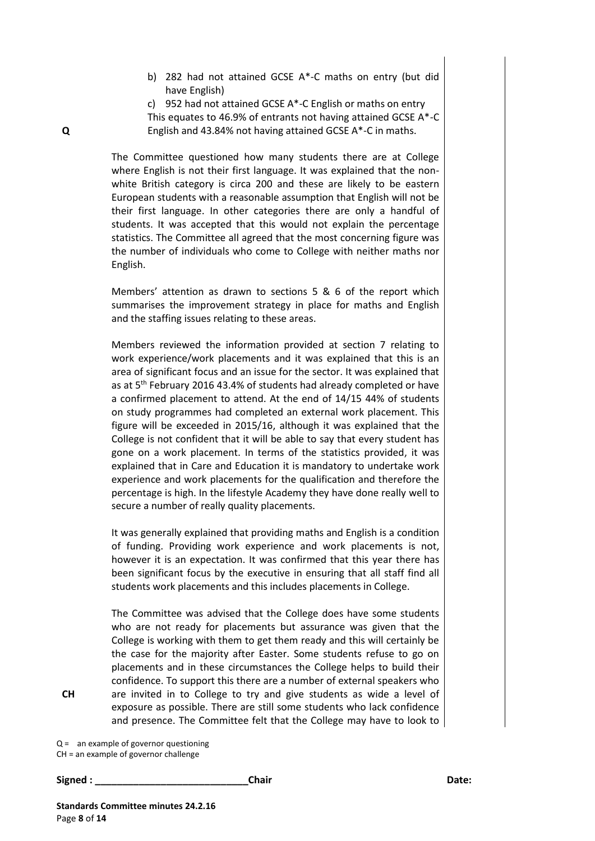- b) 282 had not attained GCSE A\*-C maths on entry (but did have English)
- c) 952 had not attained GCSE A\*-C English or maths on entry

This equates to 46.9% of entrants not having attained GCSE A\*-C English and 43.84% not having attained GCSE A\*-C in maths.

The Committee questioned how many students there are at College where English is not their first language. It was explained that the nonwhite British category is circa 200 and these are likely to be eastern European students with a reasonable assumption that English will not be their first language. In other categories there are only a handful of students. It was accepted that this would not explain the percentage statistics. The Committee all agreed that the most concerning figure was the number of individuals who come to College with neither maths nor English.

Members' attention as drawn to sections 5 & 6 of the report which summarises the improvement strategy in place for maths and English and the staffing issues relating to these areas.

Members reviewed the information provided at section 7 relating to work experience/work placements and it was explained that this is an area of significant focus and an issue for the sector. It was explained that as at 5<sup>th</sup> February 2016 43.4% of students had already completed or have a confirmed placement to attend. At the end of 14/15 44% of students on study programmes had completed an external work placement. This figure will be exceeded in 2015/16, although it was explained that the College is not confident that it will be able to say that every student has gone on a work placement. In terms of the statistics provided, it was explained that in Care and Education it is mandatory to undertake work experience and work placements for the qualification and therefore the percentage is high. In the lifestyle Academy they have done really well to secure a number of really quality placements.

It was generally explained that providing maths and English is a condition of funding. Providing work experience and work placements is not, however it is an expectation. It was confirmed that this year there has been significant focus by the executive in ensuring that all staff find all students work placements and this includes placements in College.

The Committee was advised that the College does have some students who are not ready for placements but assurance was given that the College is working with them to get them ready and this will certainly be the case for the majority after Easter. Some students refuse to go on placements and in these circumstances the College helps to build their confidence. To support this there are a number of external speakers who are invited in to College to try and give students as wide a level of exposure as possible. There are still some students who lack confidence and presence. The Committee felt that the College may have to look to

Q = an example of governor questioning

CH = an example of governor challenge

**Signed : \_\_\_\_\_\_\_\_\_\_\_\_\_\_\_\_\_\_\_\_\_\_\_\_\_\_\_\_Chair Date:** 

**CH**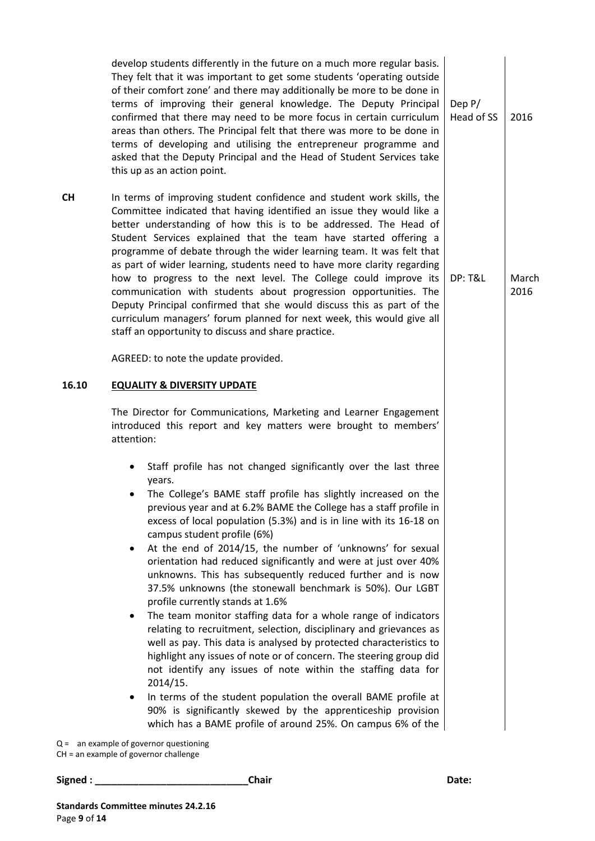|           | develop students differently in the future on a much more regular basis.<br>They felt that it was important to get some students 'operating outside<br>of their comfort zone' and there may additionally be more to be done in<br>terms of improving their general knowledge. The Deputy Principal<br>confirmed that there may need to be more focus in certain curriculum<br>areas than others. The Principal felt that there was more to be done in<br>terms of developing and utilising the entrepreneur programme and<br>asked that the Deputy Principal and the Head of Student Services take<br>this up as an action point.                                                                                                                                                                                                                                                                                                                                                                                                                                                                                                                                                                                                                                     | Dep $P/$<br>Head of SS | 2016          |
|-----------|-----------------------------------------------------------------------------------------------------------------------------------------------------------------------------------------------------------------------------------------------------------------------------------------------------------------------------------------------------------------------------------------------------------------------------------------------------------------------------------------------------------------------------------------------------------------------------------------------------------------------------------------------------------------------------------------------------------------------------------------------------------------------------------------------------------------------------------------------------------------------------------------------------------------------------------------------------------------------------------------------------------------------------------------------------------------------------------------------------------------------------------------------------------------------------------------------------------------------------------------------------------------------|------------------------|---------------|
| <b>CH</b> | In terms of improving student confidence and student work skills, the<br>Committee indicated that having identified an issue they would like a<br>better understanding of how this is to be addressed. The Head of<br>Student Services explained that the team have started offering a<br>programme of debate through the wider learning team. It was felt that<br>as part of wider learning, students need to have more clarity regarding<br>how to progress to the next level. The College could improve its<br>communication with students about progression opportunities. The<br>Deputy Principal confirmed that she would discuss this as part of the<br>curriculum managers' forum planned for next week, this would give all<br>staff an opportunity to discuss and share practice.                                                                                                                                                                                                                                                                                                                                                                                                                                                                           | <b>DP: T&amp;L</b>     | March<br>2016 |
|           | AGREED: to note the update provided.                                                                                                                                                                                                                                                                                                                                                                                                                                                                                                                                                                                                                                                                                                                                                                                                                                                                                                                                                                                                                                                                                                                                                                                                                                  |                        |               |
| 16.10     | <b>EQUALITY &amp; DIVERSITY UPDATE</b>                                                                                                                                                                                                                                                                                                                                                                                                                                                                                                                                                                                                                                                                                                                                                                                                                                                                                                                                                                                                                                                                                                                                                                                                                                |                        |               |
|           | The Director for Communications, Marketing and Learner Engagement<br>introduced this report and key matters were brought to members'<br>attention:                                                                                                                                                                                                                                                                                                                                                                                                                                                                                                                                                                                                                                                                                                                                                                                                                                                                                                                                                                                                                                                                                                                    |                        |               |
|           | Staff profile has not changed significantly over the last three<br>٠<br>years.<br>The College's BAME staff profile has slightly increased on the<br>previous year and at 6.2% BAME the College has a staff profile in<br>excess of local population (5.3%) and is in line with its 16-18 on<br>campus student profile (6%)<br>At the end of 2014/15, the number of 'unknowns' for sexual<br>$\bullet$<br>orientation had reduced significantly and were at just over 40%<br>unknowns. This has subsequently reduced further and is now<br>37.5% unknowns (the stonewall benchmark is 50%). Our LGBT<br>profile currently stands at 1.6%<br>The team monitor staffing data for a whole range of indicators<br>$\bullet$<br>relating to recruitment, selection, disciplinary and grievances as<br>well as pay. This data is analysed by protected characteristics to<br>highlight any issues of note or of concern. The steering group did<br>not identify any issues of note within the staffing data for<br>2014/15.<br>In terms of the student population the overall BAME profile at<br>٠<br>90% is significantly skewed by the apprenticeship provision<br>which has a BAME profile of around 25%. On campus 6% of the<br>$Q =$ an example of governor questioning |                        |               |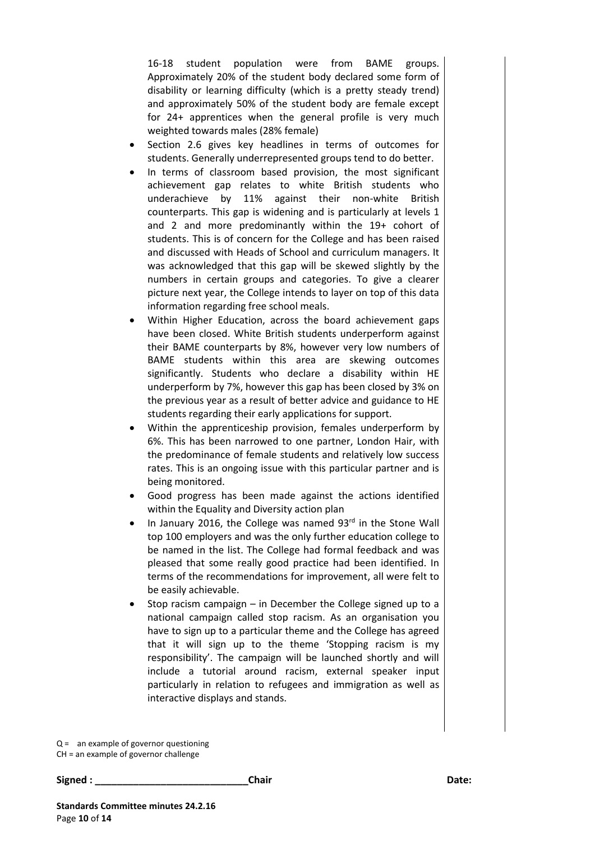16-18 student population were from BAME groups. Approximately 20% of the student body declared some form of disability or learning difficulty (which is a pretty steady trend) and approximately 50% of the student body are female except for 24+ apprentices when the general profile is very much weighted towards males (28% female)

- Section 2.6 gives key headlines in terms of outcomes for students. Generally underrepresented groups tend to do better.
- In terms of classroom based provision, the most significant achievement gap relates to white British students who underachieve by 11% against their non-white British counterparts. This gap is widening and is particularly at levels 1 and 2 and more predominantly within the 19+ cohort of students. This is of concern for the College and has been raised and discussed with Heads of School and curriculum managers. It was acknowledged that this gap will be skewed slightly by the numbers in certain groups and categories. To give a clearer picture next year, the College intends to layer on top of this data information regarding free school meals.
- Within Higher Education, across the board achievement gaps have been closed. White British students underperform against their BAME counterparts by 8%, however very low numbers of BAME students within this area are skewing outcomes significantly. Students who declare a disability within HE underperform by 7%, however this gap has been closed by 3% on the previous year as a result of better advice and guidance to HE students regarding their early applications for support.
- Within the apprenticeship provision, females underperform by 6%. This has been narrowed to one partner, London Hair, with the predominance of female students and relatively low success rates. This is an ongoing issue with this particular partner and is being monitored.
- Good progress has been made against the actions identified within the Equality and Diversity action plan
- In January 2016, the College was named 93rd in the Stone Wall top 100 employers and was the only further education college to be named in the list. The College had formal feedback and was pleased that some really good practice had been identified. In terms of the recommendations for improvement, all were felt to be easily achievable.
- Stop racism campaign in December the College signed up to a national campaign called stop racism. As an organisation you have to sign up to a particular theme and the College has agreed that it will sign up to the theme 'Stopping racism is my responsibility'. The campaign will be launched shortly and will include a tutorial around racism, external speaker input particularly in relation to refugees and immigration as well as interactive displays and stands.

Q = an example of governor questioning

CH = an example of governor challenge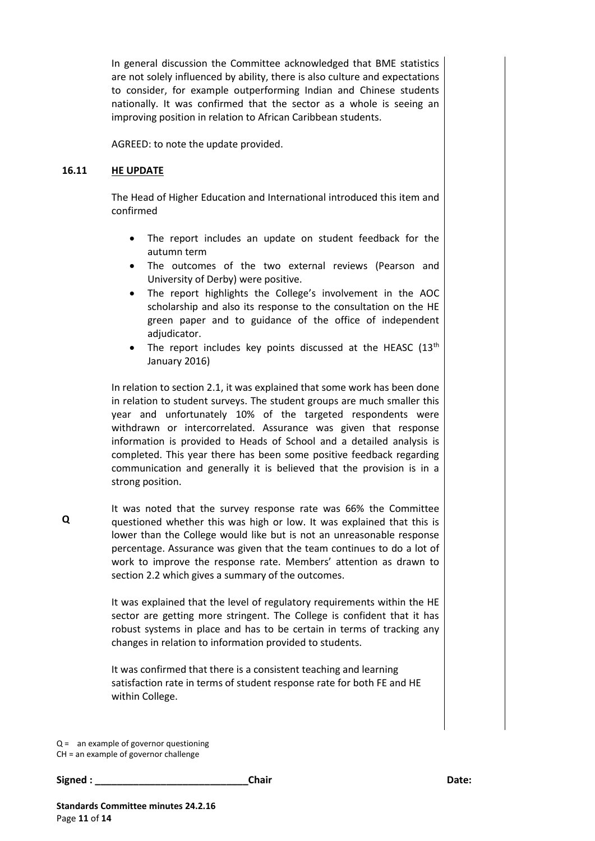In general discussion the Committee acknowledged that BME statistics are not solely influenced by ability, there is also culture and expectations to consider, for example outperforming Indian and Chinese students nationally. It was confirmed that the sector as a whole is seeing an improving position in relation to African Caribbean students.

AGREED: to note the update provided.

#### **16.11 HE UPDATE**

The Head of Higher Education and International introduced this item and confirmed

- The report includes an update on student feedback for the autumn term
- The outcomes of the two external reviews (Pearson and University of Derby) were positive.
- The report highlights the College's involvement in the AOC scholarship and also its response to the consultation on the HE green paper and to guidance of the office of independent adjudicator.
- The report includes key points discussed at the HEASC  $(13<sup>th</sup>$ January 2016)

In relation to section 2.1, it was explained that some work has been done in relation to student surveys. The student groups are much smaller this year and unfortunately 10% of the targeted respondents were withdrawn or intercorrelated. Assurance was given that response information is provided to Heads of School and a detailed analysis is completed. This year there has been some positive feedback regarding communication and generally it is believed that the provision is in a strong position.

It was noted that the survey response rate was 66% the Committee questioned whether this was high or low. It was explained that this is lower than the College would like but is not an unreasonable response percentage. Assurance was given that the team continues to do a lot of work to improve the response rate. Members' attention as drawn to section 2.2 which gives a summary of the outcomes.

> It was explained that the level of regulatory requirements within the HE sector are getting more stringent. The College is confident that it has robust systems in place and has to be certain in terms of tracking any changes in relation to information provided to students.

It was confirmed that there is a consistent teaching and learning satisfaction rate in terms of student response rate for both FE and HE within College.

Q = an example of governor questioning CH = an example of governor challenge

**Signed : \_\_\_\_\_\_\_\_\_\_\_\_\_\_\_\_\_\_\_\_\_\_\_\_\_\_\_\_Chair Date:**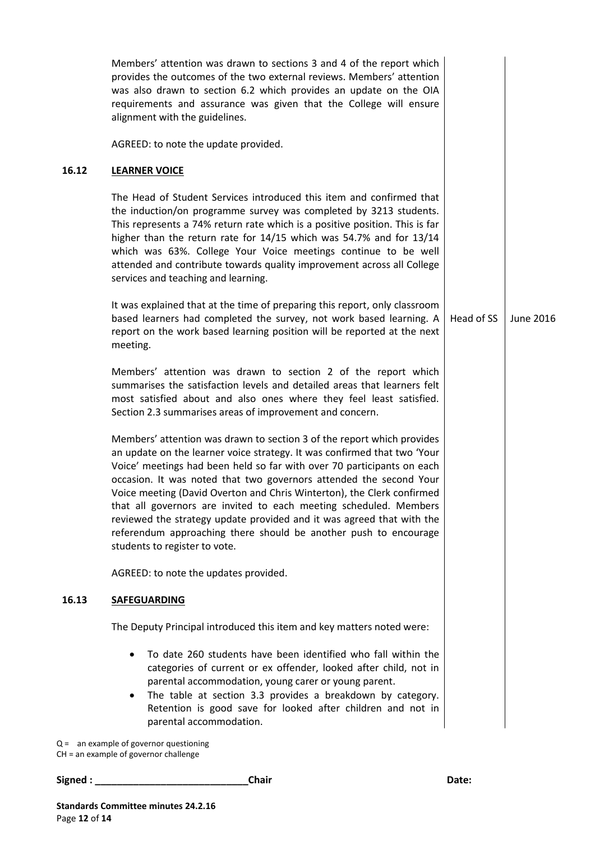|       | Members' attention was drawn to sections 3 and 4 of the report which<br>provides the outcomes of the two external reviews. Members' attention<br>was also drawn to section 6.2 which provides an update on the OIA<br>requirements and assurance was given that the College will ensure<br>alignment with the guidelines.                                                                                                                                                                                                                                                                                                       |            |           |
|-------|---------------------------------------------------------------------------------------------------------------------------------------------------------------------------------------------------------------------------------------------------------------------------------------------------------------------------------------------------------------------------------------------------------------------------------------------------------------------------------------------------------------------------------------------------------------------------------------------------------------------------------|------------|-----------|
|       | AGREED: to note the update provided.                                                                                                                                                                                                                                                                                                                                                                                                                                                                                                                                                                                            |            |           |
| 16.12 | <b>LEARNER VOICE</b>                                                                                                                                                                                                                                                                                                                                                                                                                                                                                                                                                                                                            |            |           |
|       | The Head of Student Services introduced this item and confirmed that<br>the induction/on programme survey was completed by 3213 students.<br>This represents a 74% return rate which is a positive position. This is far<br>higher than the return rate for 14/15 which was 54.7% and for 13/14<br>which was 63%. College Your Voice meetings continue to be well<br>attended and contribute towards quality improvement across all College<br>services and teaching and learning.                                                                                                                                              |            |           |
|       | It was explained that at the time of preparing this report, only classroom<br>based learners had completed the survey, not work based learning. A<br>report on the work based learning position will be reported at the next<br>meeting.                                                                                                                                                                                                                                                                                                                                                                                        | Head of SS | June 2016 |
|       | Members' attention was drawn to section 2 of the report which<br>summarises the satisfaction levels and detailed areas that learners felt<br>most satisfied about and also ones where they feel least satisfied.<br>Section 2.3 summarises areas of improvement and concern.                                                                                                                                                                                                                                                                                                                                                    |            |           |
|       | Members' attention was drawn to section 3 of the report which provides<br>an update on the learner voice strategy. It was confirmed that two 'Your<br>Voice' meetings had been held so far with over 70 participants on each<br>occasion. It was noted that two governors attended the second Your<br>Voice meeting (David Overton and Chris Winterton), the Clerk confirmed<br>that all governors are invited to each meeting scheduled. Members<br>reviewed the strategy update provided and it was agreed that with the<br>referendum approaching there should be another push to encourage<br>students to register to vote. |            |           |
|       | AGREED: to note the updates provided.                                                                                                                                                                                                                                                                                                                                                                                                                                                                                                                                                                                           |            |           |
| 16.13 | <b>SAFEGUARDING</b>                                                                                                                                                                                                                                                                                                                                                                                                                                                                                                                                                                                                             |            |           |
|       | The Deputy Principal introduced this item and key matters noted were:                                                                                                                                                                                                                                                                                                                                                                                                                                                                                                                                                           |            |           |
|       | To date 260 students have been identified who fall within the<br>categories of current or ex offender, looked after child, not in<br>parental accommodation, young carer or young parent.<br>The table at section 3.3 provides a breakdown by category.<br>Retention is good save for looked after children and not in<br>parental accommodation.                                                                                                                                                                                                                                                                               |            |           |
|       | $Q =$ an example of governor questioning                                                                                                                                                                                                                                                                                                                                                                                                                                                                                                                                                                                        |            |           |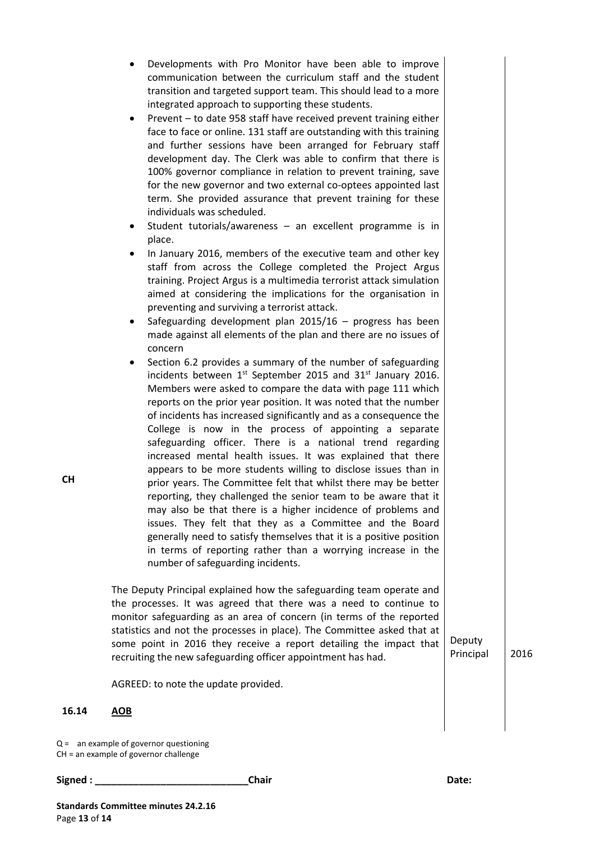- Developments with Pro Monitor have been able to improve communication between the curriculum staff and the student transition and targeted support team. This should lead to a more integrated approach to supporting these students.
- Prevent to date 958 staff have received prevent training either face to face or online. 131 staff are outstanding with this training and further sessions have been arranged for February staff development day. The Clerk was able to confirm that there is 100% governor compliance in relation to prevent training, save for the new governor and two external co-optees appointed last term. She provided assurance that prevent training for these individuals was scheduled.
- Student tutorials/awareness an excellent programme is in place.
- In January 2016, members of the executive team and other key staff from across the College completed the Project Argus training. Project Argus is a multimedia terrorist attack simulation aimed at considering the implications for the organisation in preventing and surviving a terrorist attack.
- Safeguarding development plan 2015/16 progress has been made against all elements of the plan and there are no issues of concern
- Section 6.2 provides a summary of the number of safeguarding incidents between  $1^{st}$  September 2015 and  $31^{st}$  January 2016. Members were asked to compare the data with page 111 which reports on the prior year position. It was noted that the number of incidents has increased significantly and as a consequence the College is now in the process of appointing a separate safeguarding officer. There is a national trend regarding increased mental health issues. It was explained that there appears to be more students willing to disclose issues than in prior years. The Committee felt that whilst there may be better reporting, they challenged the senior team to be aware that it may also be that there is a higher incidence of problems and issues. They felt that they as a Committee and the Board generally need to satisfy themselves that it is a positive position in terms of reporting rather than a worrying increase in the number of safeguarding incidents.

The Deputy Principal explained how the safeguarding team operate and the processes. It was agreed that there was a need to continue to monitor safeguarding as an area of concern (in terms of the reported statistics and not the processes in place). The Committee asked that at some point in 2016 they receive a report detailing the impact that recruiting the new safeguarding officer appointment has had. Deputy

Principal 2016

AGREED: to note the update provided.

#### **16.14 AOB**

Q = an example of governor questioning

CH = an example of governor challenge

```
Signed : ____________________________Chair Date:
```
**CH**